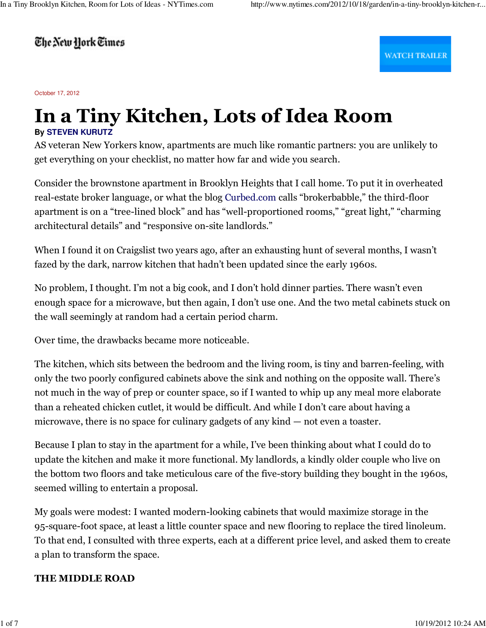The New York Times

### **WATCH TRAILER**

October 17, 2012

# In a Tiny Kitchen, Lots of Idea Room **By STEVEN KURUTZ**

AS veteran New Yorkers know, apartments are much like romantic partners: you are unlikely to get everything on your checklist, no matter how far and wide you search.

Consider the brownstone apartment in Brooklyn Heights that I call home. To put it in overheated real-estate broker language, or what the blog Curbed.com calls "brokerbabble," the third-floor apartment is on a "tree-lined block" and has "well-proportioned rooms," "great light," "charming architectural details" and "responsive on-site landlords."

When I found it on Craigslist two years ago, after an exhausting hunt of several months, I wasn't fazed by the dark, narrow kitchen that hadn't been updated since the early 1960s.

No problem, I thought. I'm not a big cook, and I don't hold dinner parties. There wasn't even enough space for a microwave, but then again, I don't use one. And the two metal cabinets stuck on the wall seemingly at random had a certain period charm.

Over time, the drawbacks became more noticeable.

The kitchen, which sits between the bedroom and the living room, is tiny and barren-feeling, with only the two poorly configured cabinets above the sink and nothing on the opposite wall. There's not much in the way of prep or counter space, so if I wanted to whip up any meal more elaborate than a reheated chicken cutlet, it would be difficult. And while I don't care about having a microwave, there is no space for culinary gadgets of any kind — not even a toaster.

Because I plan to stay in the apartment for a while, I've been thinking about what I could do to update the kitchen and make it more functional. My landlords, a kindly older couple who live on the bottom two floors and take meticulous care of the five-story building they bought in the 1960s, seemed willing to entertain a proposal.

My goals were modest: I wanted modern-looking cabinets that would maximize storage in the 95-square-foot space, at least a little counter space and new flooring to replace the tired linoleum. To that end, I consulted with three experts, each at a different price level, and asked them to create a plan to transform the space.

#### THE MIDDLE ROAD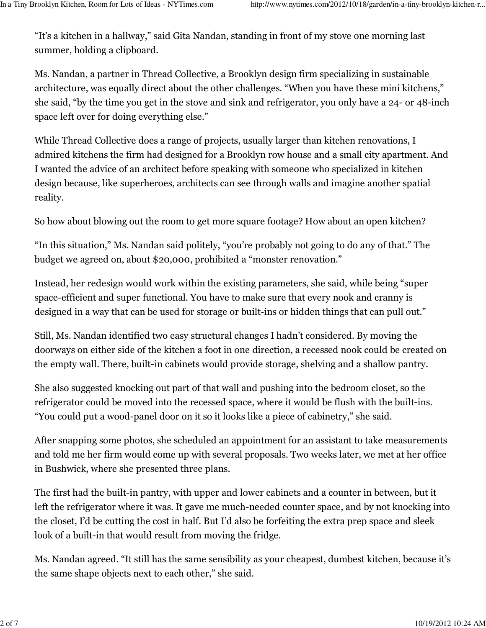"It's a kitchen in a hallway," said Gita Nandan, standing in front of my stove one morning last summer, holding a clipboard.

Ms. Nandan, a partner in Thread Collective, a Brooklyn design firm specializing in sustainable architecture, was equally direct about the other challenges. "When you have these mini kitchens," she said, "by the time you get in the stove and sink and refrigerator, you only have a 24- or 48-inch space left over for doing everything else."

While Thread Collective does a range of projects, usually larger than kitchen renovations, I admired kitchens the firm had designed for a Brooklyn row house and a small city apartment. And I wanted the advice of an architect before speaking with someone who specialized in kitchen design because, like superheroes, architects can see through walls and imagine another spatial reality.

So how about blowing out the room to get more square footage? How about an open kitchen?

"In this situation," Ms. Nandan said politely, "you're probably not going to do any of that." The budget we agreed on, about \$20,000, prohibited a "monster renovation."

Instead, her redesign would work within the existing parameters, she said, while being "super space-efficient and super functional. You have to make sure that every nook and cranny is designed in a way that can be used for storage or built-ins or hidden things that can pull out."

Still, Ms. Nandan identified two easy structural changes I hadn't considered. By moving the doorways on either side of the kitchen a foot in one direction, a recessed nook could be created on the empty wall. There, built-in cabinets would provide storage, shelving and a shallow pantry.

She also suggested knocking out part of that wall and pushing into the bedroom closet, so the refrigerator could be moved into the recessed space, where it would be flush with the built-ins. "You could put a wood-panel door on it so it looks like a piece of cabinetry," she said.

After snapping some photos, she scheduled an appointment for an assistant to take measurements and told me her firm would come up with several proposals. Two weeks later, we met at her office in Bushwick, where she presented three plans.

The first had the built-in pantry, with upper and lower cabinets and a counter in between, but it left the refrigerator where it was. It gave me much-needed counter space, and by not knocking into the closet, I'd be cutting the cost in half. But I'd also be forfeiting the extra prep space and sleek look of a built-in that would result from moving the fridge.

Ms. Nandan agreed. "It still has the same sensibility as your cheapest, dumbest kitchen, because it's the same shape objects next to each other," she said.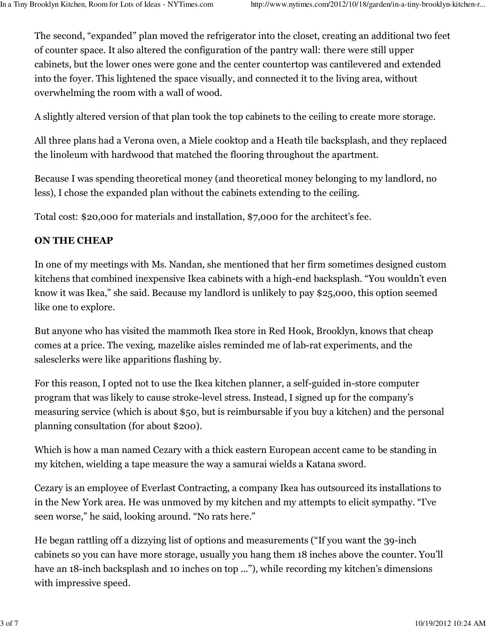The second, "expanded" plan moved the refrigerator into the closet, creating an additional two feet of counter space. It also altered the configuration of the pantry wall: there were still upper cabinets, but the lower ones were gone and the center countertop was cantilevered and extended into the foyer. This lightened the space visually, and connected it to the living area, without overwhelming the room with a wall of wood.

A slightly altered version of that plan took the top cabinets to the ceiling to create more storage.

All three plans had a Verona oven, a Miele cooktop and a Heath tile backsplash, and they replaced the linoleum with hardwood that matched the flooring throughout the apartment.

Because I was spending theoretical money (and theoretical money belonging to my landlord, no less), I chose the expanded plan without the cabinets extending to the ceiling.

Total cost: \$20,000 for materials and installation, \$7,000 for the architect's fee.

#### ON THE CHEAP

In one of my meetings with Ms. Nandan, she mentioned that her firm sometimes designed custom kitchens that combined inexpensive Ikea cabinets with a high-end backsplash. "You wouldn't even know it was Ikea," she said. Because my landlord is unlikely to pay \$25,000, this option seemed like one to explore.

But anyone who has visited the mammoth Ikea store in Red Hook, Brooklyn, knows that cheap comes at a price. The vexing, mazelike aisles reminded me of lab-rat experiments, and the salesclerks were like apparitions flashing by.

For this reason, I opted not to use the Ikea kitchen planner, a self-guided in-store computer program that was likely to cause stroke-level stress. Instead, I signed up for the company's measuring service (which is about \$50, but is reimbursable if you buy a kitchen) and the personal planning consultation (for about \$200).

Which is how a man named Cezary with a thick eastern European accent came to be standing in my kitchen, wielding a tape measure the way a samurai wields a Katana sword.

Cezary is an employee of Everlast Contracting, a company Ikea has outsourced its installations to in the New York area. He was unmoved by my kitchen and my attempts to elicit sympathy. "I've seen worse," he said, looking around. "No rats here."

He began rattling off a dizzying list of options and measurements ("If you want the 39-inch cabinets so you can have more storage, usually you hang them 18 inches above the counter. You'll have an 18-inch backsplash and 10 inches on top ..."), while recording my kitchen's dimensions with impressive speed.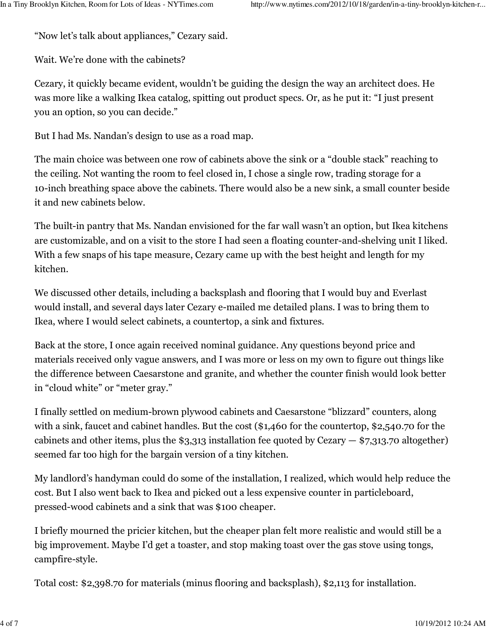"Now let's talk about appliances," Cezary said.

Wait. We're done with the cabinets?

Cezary, it quickly became evident, wouldn't be guiding the design the way an architect does. He was more like a walking Ikea catalog, spitting out product specs. Or, as he put it: "I just present you an option, so you can decide."

But I had Ms. Nandan's design to use as a road map.

The main choice was between one row of cabinets above the sink or a "double stack" reaching to the ceiling. Not wanting the room to feel closed in, I chose a single row, trading storage for a 10-inch breathing space above the cabinets. There would also be a new sink, a small counter beside it and new cabinets below.

The built-in pantry that Ms. Nandan envisioned for the far wall wasn't an option, but Ikea kitchens are customizable, and on a visit to the store I had seen a floating counter-and-shelving unit I liked. With a few snaps of his tape measure, Cezary came up with the best height and length for my kitchen.

We discussed other details, including a backsplash and flooring that I would buy and Everlast would install, and several days later Cezary e-mailed me detailed plans. I was to bring them to Ikea, where I would select cabinets, a countertop, a sink and fixtures.

Back at the store, I once again received nominal guidance. Any questions beyond price and materials received only vague answers, and I was more or less on my own to figure out things like the difference between Caesarstone and granite, and whether the counter finish would look better in "cloud white" or "meter gray."

I finally settled on medium-brown plywood cabinets and Caesarstone "blizzard" counters, along with a sink, faucet and cabinet handles. But the cost (\$1,460 for the countertop, \$2,540.70 for the cabinets and other items, plus the  $$3,313$  installation fee quoted by Cezary  $$7,313.70$  altogether) seemed far too high for the bargain version of a tiny kitchen.

My landlord's handyman could do some of the installation, I realized, which would help reduce the cost. But I also went back to Ikea and picked out a less expensive counter in particleboard, pressed-wood cabinets and a sink that was \$100 cheaper.

I briefly mourned the pricier kitchen, but the cheaper plan felt more realistic and would still be a big improvement. Maybe I'd get a toaster, and stop making toast over the gas stove using tongs, campfire-style.

Total cost: \$2,398.70 for materials (minus flooring and backsplash), \$2,113 for installation.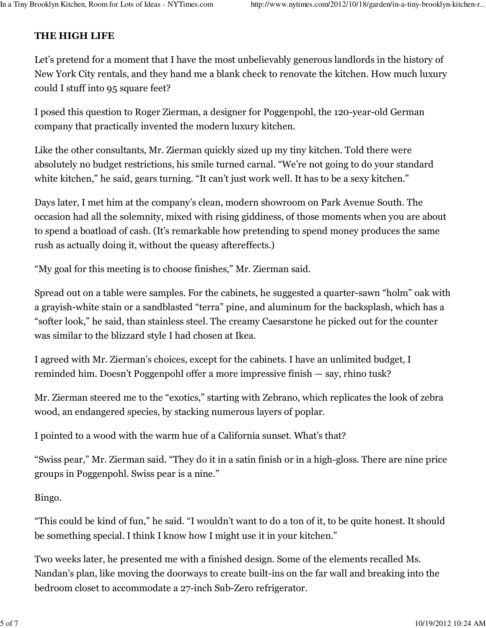### THE HIGH LIFE

Let's pretend for a moment that I have the most unbelievably generous landlords in the history of New York City rentals, and they hand me a blank check to renovate the kitchen. How much luxury could I stuff into 95 square feet?

I posed this question to Roger Zierman, a designer for Poggenpohl, the 120-year-old German company that practically invented the modern luxury kitchen.

Like the other consultants, Mr. Zierman quickly sized up my tiny kitchen. Told there were absolutely no budget restrictions, his smile turned carnal. "We're not going to do your standard white kitchen," he said, gears turning. "It can't just work well. It has to be a sexy kitchen."

Days later, I met him at the company's clean, modern showroom on Park Avenue South. The occasion had all the solemnity, mixed with rising giddiness, of those moments when you are about to spend a boatload of cash. (It's remarkable how pretending to spend money produces the same rush as actually doing it, without the queasy aftereffects.)

"My goal for this meeting is to choose finishes," Mr. Zierman said.

Spread out on a table were samples. For the cabinets, he suggested a quarter-sawn "holm" oak with a grayish-white stain or a sandblasted "terra" pine, and aluminum for the backsplash, which has a "softer look," he said, than stainless steel. The creamy Caesarstone he picked out for the counter was similar to the blizzard style I had chosen at Ikea.

I agreed with Mr. Zierman's choices, except for the cabinets. I have an unlimited budget, I reminded him. Doesn't Poggenpohl offer a more impressive finish — say, rhino tusk?

Mr. Zierman steered me to the "exotics," starting with Zebrano, which replicates the look of zebra wood, an endangered species, by stacking numerous layers of poplar.

I pointed to a wood with the warm hue of a California sunset. What's that?

"Swiss pear," Mr. Zierman said. "They do it in a satin finish or in a high-gloss. There are nine price groups in Poggenpohl. Swiss pear is a nine."

Bingo.

"This could be kind of fun," he said. "I wouldn't want to do a ton of it, to be quite honest. It should be something special. I think I know how I might use it in your kitchen."

Two weeks later, he presented me with a finished design. Some of the elements recalled Ms. Nandan's plan, like moving the doorways to create built-ins on the far wall and breaking into the bedroom closet to accommodate a 27-inch Sub-Zero refrigerator.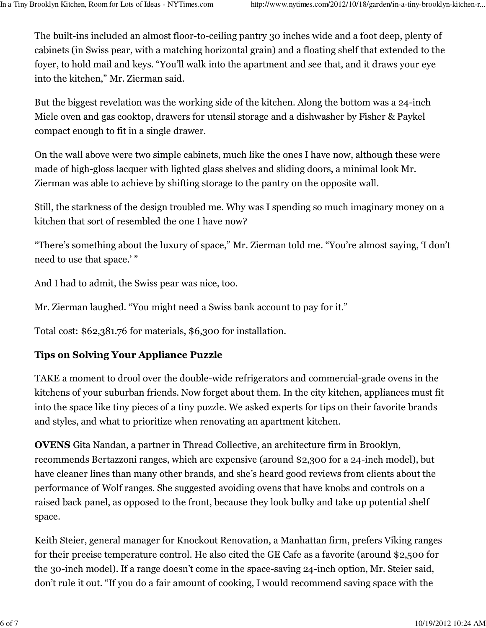The built-ins included an almost floor-to-ceiling pantry 30 inches wide and a foot deep, plenty of cabinets (in Swiss pear, with a matching horizontal grain) and a floating shelf that extended to the foyer, to hold mail and keys. "You'll walk into the apartment and see that, and it draws your eye into the kitchen," Mr. Zierman said.

But the biggest revelation was the working side of the kitchen. Along the bottom was a 24-inch Miele oven and gas cooktop, drawers for utensil storage and a dishwasher by Fisher & Paykel compact enough to fit in a single drawer.

On the wall above were two simple cabinets, much like the ones I have now, although these were made of high-gloss lacquer with lighted glass shelves and sliding doors, a minimal look Mr. Zierman was able to achieve by shifting storage to the pantry on the opposite wall.

Still, the starkness of the design troubled me. Why was I spending so much imaginary money on a kitchen that sort of resembled the one I have now?

"There's something about the luxury of space," Mr. Zierman told me. "You're almost saying, 'I don't need to use that space.' "

And I had to admit, the Swiss pear was nice, too.

Mr. Zierman laughed. "You might need a Swiss bank account to pay for it."

Total cost: \$62,381.76 for materials, \$6,300 for installation.

## Tips on Solving Your Appliance Puzzle

TAKE a moment to drool over the double-wide refrigerators and commercial-grade ovens in the kitchens of your suburban friends. Now forget about them. In the city kitchen, appliances must fit into the space like tiny pieces of a tiny puzzle. We asked experts for tips on their favorite brands and styles, and what to prioritize when renovating an apartment kitchen.

OVENS Gita Nandan, a partner in Thread Collective, an architecture firm in Brooklyn, recommends Bertazzoni ranges, which are expensive (around \$2,300 for a 24-inch model), but have cleaner lines than many other brands, and she's heard good reviews from clients about the performance of Wolf ranges. She suggested avoiding ovens that have knobs and controls on a raised back panel, as opposed to the front, because they look bulky and take up potential shelf space.

Keith Steier, general manager for Knockout Renovation, a Manhattan firm, prefers Viking ranges for their precise temperature control. He also cited the GE Cafe as a favorite (around \$2,500 for the 30-inch model). If a range doesn't come in the space-saving 24-inch option, Mr. Steier said, don't rule it out. "If you do a fair amount of cooking, I would recommend saving space with the